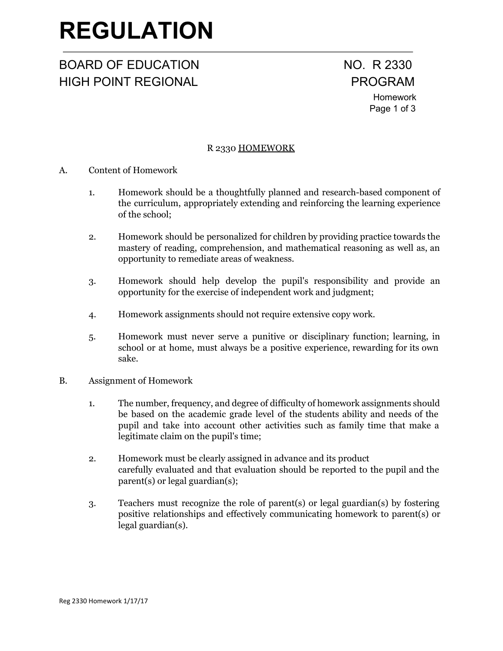# **REGULATION**

### BOARD OF EDUCATION NO. R 2330 HIGH POINT REGIONAL **PROGRAM**

## Homework Page 1 of 3

#### R 2330 HOMEWORK

- A. Content of Homework
	- 1. Homework should be a thoughtfully planned and research-based component of the curriculum, appropriately extending and reinforcing the learning experience of the school;
	- 2. Homework should be personalized for children by providing practice towards the mastery of reading, comprehension, and mathematical reasoning as well as, an opportunity to remediate areas of weakness.
	- 3. Homework should help develop the pupil's responsibility and provide an opportunity for the exercise of independent work and judgment;
	- 4. Homework assignments should not require extensive copy work.
	- 5. Homework must never serve a punitive or disciplinary function; learning, in school or at home, must always be a positive experience, rewarding for its own sake.
- B. Assignment of Homework
	- 1. The number, frequency, and degree of difficulty of homework assignments should be based on the academic grade level of the students ability and needs of the pupil and take into account other activities such as family time that make a legitimate claim on the pupil's time;
	- 2. Homework must be clearly assigned in advance and its product carefully evaluated and that evaluation should be reported to the pupil and the parent(s) or legal guardian(s);
	- 3. Teachers must recognize the role of parent(s) or legal guardian(s) by fostering positive relationships and effectively communicating homework to parent(s) or legal guardian(s).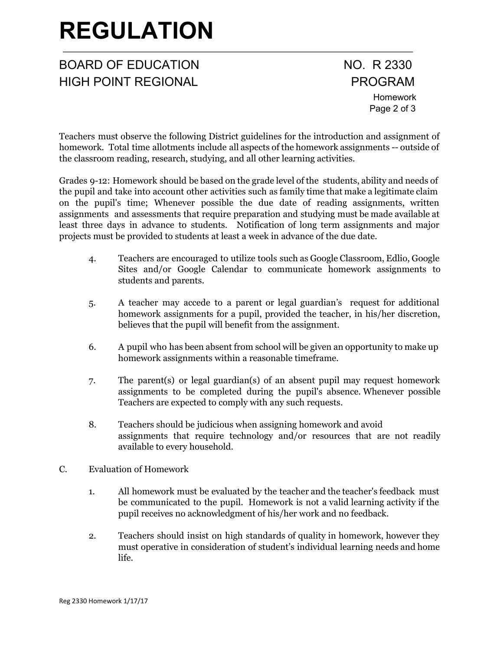# **REGULATION**

### BOARD OF EDUCATION NO. R 2330 HIGH POINT REGIONAL **PROGRAM**

Homework Page 2 of 3

Teachers must observe the following District guidelines for the introduction and assignment of homework. Total time allotments include all aspects of the homework assignments -- outside of the classroom reading, research, studying, and all other learning activities.

Grades 9-12: Homework should be based on the grade level of the students, ability and needs of the pupil and take into account other activities such as family time that make a legitimate claim on the pupil's time; Whenever possible the due date of reading assignments, written assignments and assessments that require preparation and studying must be made available at least three days in advance to students. Notification of long term assignments and major projects must be provided to students at least a week in advance of the due date.

- 4. Teachers are encouraged to utilize tools such as Google Classroom, Edlio, Google Sites and/or Google Calendar to communicate homework assignments to students and parents.
- 5. A teacher may accede to a parent or legal guardian's request for additional homework assignments for a pupil, provided the teacher, in his/her discretion, believes that the pupil will benefit from the assignment.
- 6. A pupil who has been absent from school will be given an opportunity to make up homework assignments within a reasonable timeframe.
- 7. The parent(s) or legal guardian(s) of an absent pupil may request homework assignments to be completed during the pupil's absence. Whenever possible Teachers are expected to comply with any such requests.
- 8. Teachers should be judicious when assigning homework and avoid assignments that require technology and/or resources that are not readily available to every household.
- C. Evaluation of Homework
	- 1. All homework must be evaluated by the teacher and the teacher's feedback must be communicated to the pupil. Homework is not a valid learning activity if the pupil receives no acknowledgment of his/her work and no feedback.
	- 2. Teachers should insist on high standards of quality in homework, however they must operative in consideration of student's individual learning needs and home life.